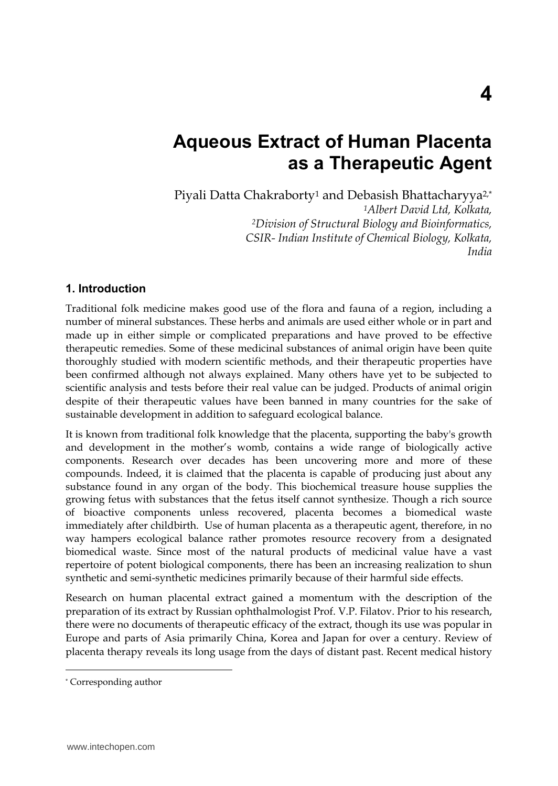# **Aqueous Extract of Human Placenta as a Therapeutic Agent**

Piyali Datta Chakraborty<sup>1</sup> and Debasish Bhattacharyya<sup>2,\*</sup> *<sup>1</sup>Albert David Ltd, Kolkata, <sup>2</sup>Division of Structural Biology and Bioinformatics, CSIR- Indian Institute of Chemical Biology, Kolkata, India* 

## **1. Introduction**

Traditional folk medicine makes good use of the flora and fauna of a region, including a number of mineral substances. These herbs and animals are used either whole or in part and made up in either simple or complicated preparations and have proved to be effective therapeutic remedies. Some of these medicinal substances of animal origin have been quite thoroughly studied with modern scientific methods, and their therapeutic properties have been confirmed although not always explained. Many others have yet to be subjected to scientific analysis and tests before their real value can be judged. Products of animal origin despite of their therapeutic values have been banned in many countries for the sake of sustainable development in addition to safeguard ecological balance.

It is known from traditional folk knowledge that the placenta, supporting the baby's growth and development in the mother's womb, contains a wide range of biologically active components. Research over decades has been uncovering more and more of these compounds. Indeed, it is claimed that the placenta is capable of producing just about any substance found in any organ of the body. This biochemical treasure house supplies the growing fetus with substances that the fetus itself cannot synthesize. Though a rich source of bioactive components unless recovered, placenta becomes a biomedical waste immediately after childbirth. Use of human placenta as a therapeutic agent, therefore, in no way hampers ecological balance rather promotes resource recovery from a designated biomedical waste. Since most of the natural products of medicinal value have a vast repertoire of potent biological components, there has been an increasing realization to shun synthetic and semi-synthetic medicines primarily because of their harmful side effects.

Research on human placental extract gained a momentum with the description of the preparation of its extract by Russian ophthalmologist Prof. V.P. Filatov. Prior to his research, there were no documents of therapeutic efficacy of the extract, though its use was popular in Europe and parts of Asia primarily China, Korea and Japan for over a century. Review of placenta therapy reveals its long usage from the days of distant past. Recent medical history

 $\overline{a}$ 

<sup>\*</sup> Corresponding author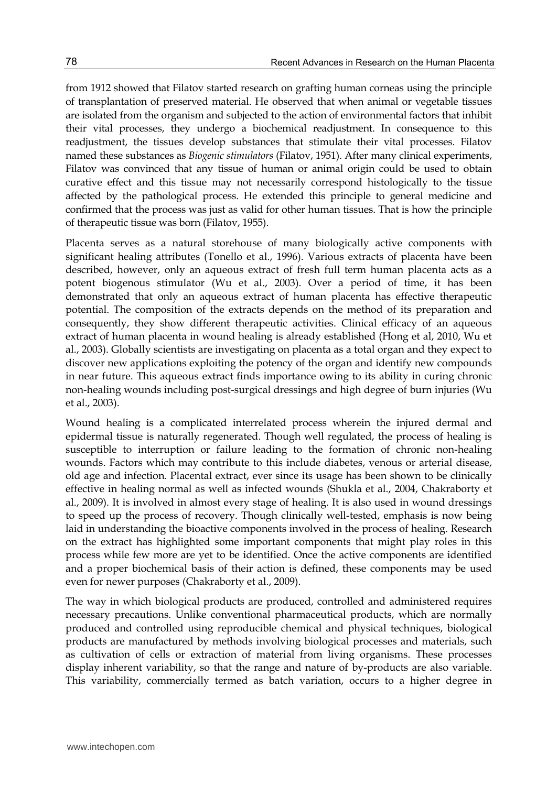from 1912 showed that Filatov started research on grafting human corneas using the principle of transplantation of preserved material. He observed that when animal or vegetable tissues are isolated from the organism and subjected to the action of environmental factors that inhibit their vital processes, they undergo a biochemical readjustment. In consequence to this readjustment, the tissues develop substances that stimulate their vital processes. Filatov named these substances as *Biogenic stimulators* (Filatov, 1951). After many clinical experiments, Filatov was convinced that any tissue of human or animal origin could be used to obtain curative effect and this tissue may not necessarily correspond histologically to the tissue affected by the pathological process. He extended this principle to general medicine and confirmed that the process was just as valid for other human tissues. That is how the principle of therapeutic tissue was born (Filatov, 1955).

Placenta serves as a natural storehouse of many biologically active components with significant healing attributes (Tonello et al., 1996). Various extracts of placenta have been described, however, only an aqueous extract of fresh full term human placenta acts as a potent biogenous stimulator (Wu et al., 2003). Over a period of time, it has been demonstrated that only an aqueous extract of human placenta has effective therapeutic potential. The composition of the extracts depends on the method of its preparation and consequently, they show different therapeutic activities. Clinical efficacy of an aqueous extract of human placenta in wound healing is already established (Hong et al, 2010, Wu et al., 2003). Globally scientists are investigating on placenta as a total organ and they expect to discover new applications exploiting the potency of the organ and identify new compounds in near future. This aqueous extract finds importance owing to its ability in curing chronic non-healing wounds including post-surgical dressings and high degree of burn injuries (Wu et al., 2003).

Wound healing is a complicated interrelated process wherein the injured dermal and epidermal tissue is naturally regenerated. Though well regulated, the process of healing is susceptible to interruption or failure leading to the formation of chronic non-healing wounds. Factors which may contribute to this include diabetes, venous or arterial disease, old age and infection. Placental extract, ever since its usage has been shown to be clinically effective in healing normal as well as infected wounds (Shukla et al., 2004, Chakraborty et al., 2009). It is involved in almost every stage of healing. It is also used in wound dressings to speed up the process of recovery. Though clinically well-tested, emphasis is now being laid in understanding the bioactive components involved in the process of healing. Research on the extract has highlighted some important components that might play roles in this process while few more are yet to be identified. Once the active components are identified and a proper biochemical basis of their action is defined, these components may be used even for newer purposes (Chakraborty et al., 2009).

The way in which biological products are produced, controlled and administered requires necessary precautions. Unlike conventional pharmaceutical products, which are normally produced and controlled using reproducible chemical and physical techniques, biological products are manufactured by methods involving biological processes and materials, such as cultivation of cells or extraction of material from living organisms. These processes display inherent variability, so that the range and nature of by-products are also variable. This variability, commercially termed as batch variation, occurs to a higher degree in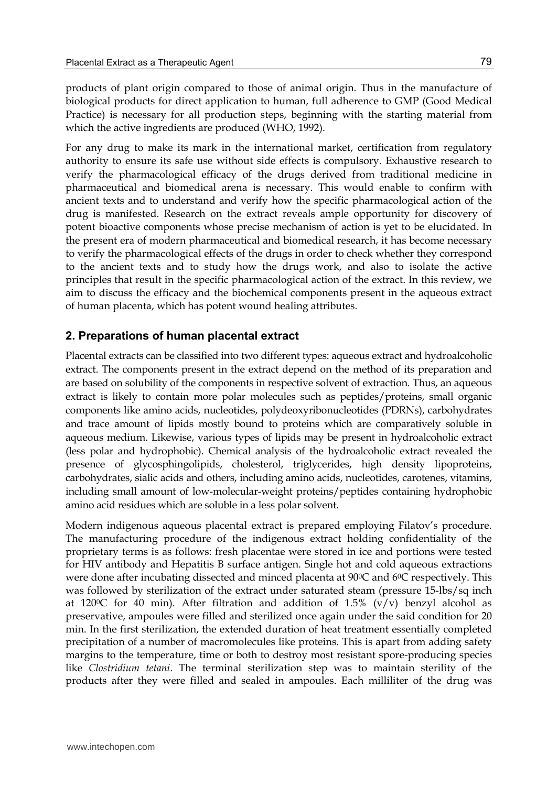products of plant origin compared to those of animal origin. Thus in the manufacture of biological products for direct application to human, full adherence to GMP (Good Medical Practice) is necessary for all production steps, beginning with the starting material from which the active ingredients are produced (WHO, 1992).

For any drug to make its mark in the international market, certification from regulatory authority to ensure its safe use without side effects is compulsory. Exhaustive research to verify the pharmacological efficacy of the drugs derived from traditional medicine in pharmaceutical and biomedical arena is necessary. This would enable to confirm with ancient texts and to understand and verify how the specific pharmacological action of the drug is manifested. Research on the extract reveals ample opportunity for discovery of potent bioactive components whose precise mechanism of action is yet to be elucidated. In the present era of modern pharmaceutical and biomedical research, it has become necessary to verify the pharmacological effects of the drugs in order to check whether they correspond to the ancient texts and to study how the drugs work, and also to isolate the active principles that result in the specific pharmacological action of the extract. In this review, we aim to discuss the efficacy and the biochemical components present in the aqueous extract of human placenta, which has potent wound healing attributes.

## **2. Preparations of human placental extract**

Placental extracts can be classified into two different types: aqueous extract and hydroalcoholic extract. The components present in the extract depend on the method of its preparation and are based on solubility of the components in respective solvent of extraction. Thus, an aqueous extract is likely to contain more polar molecules such as peptides/proteins, small organic components like amino acids, nucleotides, polydeoxyribonucleotides (PDRNs), carbohydrates and trace amount of lipids mostly bound to proteins which are comparatively soluble in aqueous medium. Likewise, various types of lipids may be present in hydroalcoholic extract (less polar and hydrophobic). Chemical analysis of the hydroalcoholic extract revealed the presence of glycosphingolipids, cholesterol, triglycerides, high density lipoproteins, carbohydrates, sialic acids and others, including amino acids, nucleotides, carotenes, vitamins, including small amount of low-molecular-weight proteins/peptides containing hydrophobic amino acid residues which are soluble in a less polar solvent.

Modern indigenous aqueous placental extract is prepared employing Filatov's procedure. The manufacturing procedure of the indigenous extract holding confidentiality of the proprietary terms is as follows: fresh placentae were stored in ice and portions were tested for HIV antibody and Hepatitis B surface antigen. Single hot and cold aqueous extractions were done after incubating dissected and minced placenta at 90°C and 6°C respectively. This was followed by sterilization of the extract under saturated steam (pressure 15-lbs/sq inch at 120<sup>o</sup>C for 40 min). After filtration and addition of 1.5% ( $v/v$ ) benzyl alcohol as preservative, ampoules were filled and sterilized once again under the said condition for 20 min. In the first sterilization, the extended duration of heat treatment essentially completed precipitation of a number of macromolecules like proteins. This is apart from adding safety margins to the temperature, time or both to destroy most resistant spore-producing species like *Clostridium tetani*. The terminal sterilization step was to maintain sterility of the products after they were filled and sealed in ampoules. Each milliliter of the drug was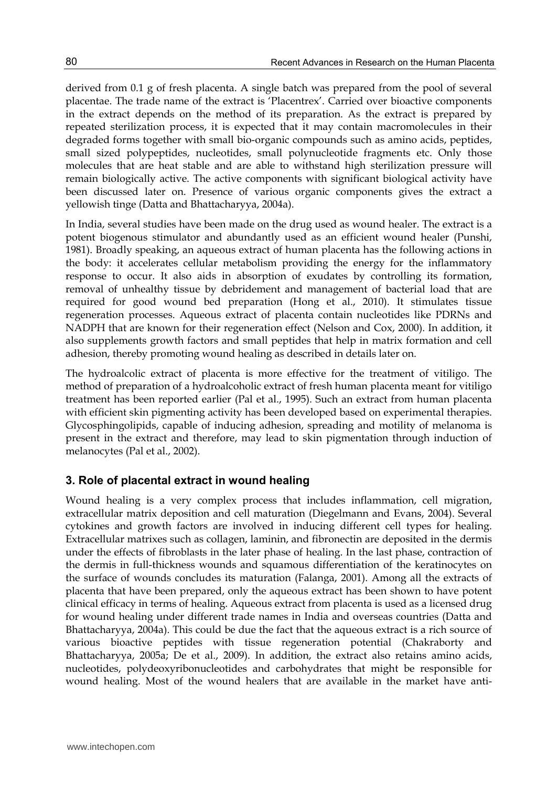derived from 0.1 g of fresh placenta. A single batch was prepared from the pool of several placentae. The trade name of the extract is 'Placentrex'. Carried over bioactive components in the extract depends on the method of its preparation. As the extract is prepared by repeated sterilization process, it is expected that it may contain macromolecules in their degraded forms together with small bio-organic compounds such as amino acids, peptides, small sized polypeptides, nucleotides, small polynucleotide fragments etc. Only those molecules that are heat stable and are able to withstand high sterilization pressure will remain biologically active. The active components with significant biological activity have been discussed later on. Presence of various organic components gives the extract a yellowish tinge (Datta and Bhattacharyya, 2004a).

In India, several studies have been made on the drug used as wound healer. The extract is a potent biogenous stimulator and abundantly used as an efficient wound healer (Punshi, 1981). Broadly speaking, an aqueous extract of human placenta has the following actions in the body: it accelerates cellular metabolism providing the energy for the inflammatory response to occur. It also aids in absorption of exudates by controlling its formation, removal of unhealthy tissue by debridement and management of bacterial load that are required for good wound bed preparation (Hong et al., 2010). It stimulates tissue regeneration processes. Aqueous extract of placenta contain nucleotides like PDRNs and NADPH that are known for their regeneration effect (Nelson and Cox, 2000). In addition, it also supplements growth factors and small peptides that help in matrix formation and cell adhesion, thereby promoting wound healing as described in details later on.

The hydroalcolic extract of placenta is more effective for the treatment of vitiligo. The method of preparation of a hydroalcoholic extract of fresh human placenta meant for vitiligo treatment has been reported earlier (Pal et al., 1995). Such an extract from human placenta with efficient skin pigmenting activity has been developed based on experimental therapies. Glycosphingolipids, capable of inducing adhesion, spreading and motility of melanoma is present in the extract and therefore, may lead to skin pigmentation through induction of melanocytes (Pal et al., 2002).

## **3. Role of placental extract in wound healing**

Wound healing is a very complex process that includes inflammation, cell migration, extracellular matrix deposition and cell maturation (Diegelmann and Evans, 2004). Several cytokines and growth factors are involved in inducing different cell types for healing. Extracellular matrixes such as collagen, laminin, and fibronectin are deposited in the dermis under the effects of fibroblasts in the later phase of healing. In the last phase, contraction of the dermis in full-thickness wounds and squamous differentiation of the keratinocytes on the surface of wounds concludes its maturation (Falanga, 2001). Among all the extracts of placenta that have been prepared, only the aqueous extract has been shown to have potent clinical efficacy in terms of healing. Aqueous extract from placenta is used as a licensed drug for wound healing under different trade names in India and overseas countries (Datta and Bhattacharyya, 2004a). This could be due the fact that the aqueous extract is a rich source of various bioactive peptides with tissue regeneration potential (Chakraborty and Bhattacharyya, 2005a; De et al., 2009). In addition, the extract also retains amino acids, nucleotides, polydeoxyribonucleotides and carbohydrates that might be responsible for wound healing. Most of the wound healers that are available in the market have anti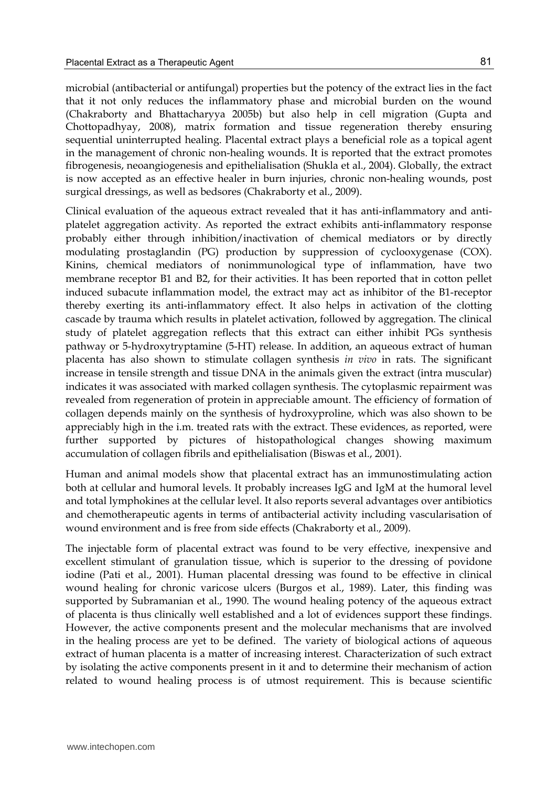microbial (antibacterial or antifungal) properties but the potency of the extract lies in the fact that it not only reduces the inflammatory phase and microbial burden on the wound (Chakraborty and Bhattacharyya 2005b) but also help in cell migration (Gupta and Chottopadhyay, 2008), matrix formation and tissue regeneration thereby ensuring sequential uninterrupted healing. Placental extract plays a beneficial role as a topical agent

in the management of chronic non-healing wounds. It is reported that the extract promotes fibrogenesis, neoangiogenesis and epithelialisation (Shukla et al., 2004). Globally, the extract is now accepted as an effective healer in burn injuries, chronic non-healing wounds, post surgical dressings, as well as bedsores (Chakraborty et al., 2009).

Clinical evaluation of the aqueous extract revealed that it has anti-inflammatory and antiplatelet aggregation activity. As reported the extract exhibits anti-inflammatory response probably either through inhibition/inactivation of chemical mediators or by directly modulating prostaglandin (PG) production by suppression of cyclooxygenase (COX). Kinins, chemical mediators of nonimmunological type of inflammation, have two membrane receptor B1 and B2, for their activities. It has been reported that in cotton pellet induced subacute inflammation model, the extract may act as inhibitor of the B1-receptor thereby exerting its anti-inflammatory effect. It also helps in activation of the clotting cascade by trauma which results in platelet activation, followed by aggregation. The clinical study of platelet aggregation reflects that this extract can either inhibit PGs synthesis pathway or 5-hydroxytryptamine (5-HT) release. In addition, an aqueous extract of human placenta has also shown to stimulate collagen synthesis *in vivo* in rats. The significant increase in tensile strength and tissue DNA in the animals given the extract (intra muscular) indicates it was associated with marked collagen synthesis. The cytoplasmic repairment was revealed from regeneration of protein in appreciable amount. The efficiency of formation of collagen depends mainly on the synthesis of hydroxyproline, which was also shown to be appreciably high in the i.m. treated rats with the extract. These evidences, as reported, were further supported by pictures of histopathological changes showing maximum accumulation of collagen fibrils and epithelialisation (Biswas et al., 2001).

Human and animal models show that placental extract has an immunostimulating action both at cellular and humoral levels. It probably increases IgG and IgM at the humoral level and total lymphokines at the cellular level. It also reports several advantages over antibiotics and chemotherapeutic agents in terms of antibacterial activity including vascularisation of wound environment and is free from side effects (Chakraborty et al., 2009).

The injectable form of placental extract was found to be very effective, inexpensive and excellent stimulant of granulation tissue, which is superior to the dressing of povidone iodine (Pati et al., 2001). Human placental dressing was found to be effective in clinical wound healing for chronic varicose ulcers (Burgos et al., 1989). Later, this finding was supported by Subramanian et al., 1990. The wound healing potency of the aqueous extract of placenta is thus clinically well established and a lot of evidences support these findings. However, the active components present and the molecular mechanisms that are involved in the healing process are yet to be defined. The variety of biological actions of aqueous extract of human placenta is a matter of increasing interest. Characterization of such extract by isolating the active components present in it and to determine their mechanism of action related to wound healing process is of utmost requirement. This is because scientific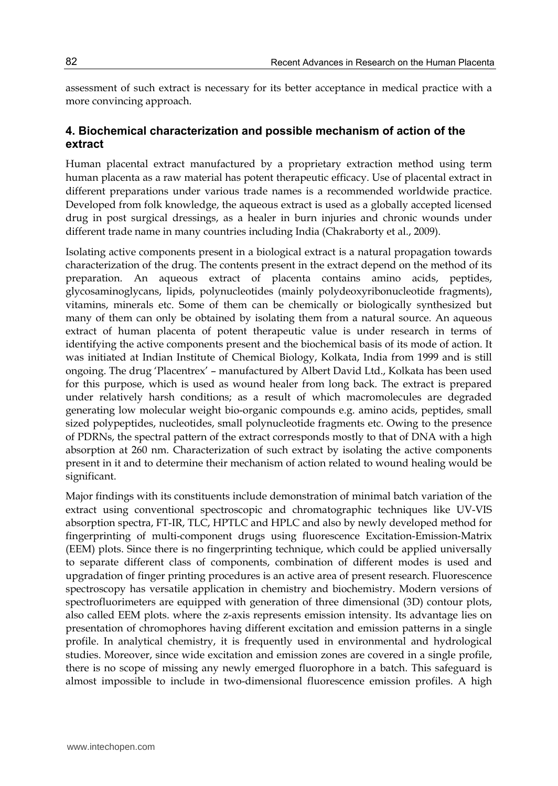assessment of such extract is necessary for its better acceptance in medical practice with a more convincing approach.

## **4. Biochemical characterization and possible mechanism of action of the extract**

Human placental extract manufactured by a proprietary extraction method using term human placenta as a raw material has potent therapeutic efficacy. Use of placental extract in different preparations under various trade names is a recommended worldwide practice. Developed from folk knowledge, the aqueous extract is used as a globally accepted licensed drug in post surgical dressings, as a healer in burn injuries and chronic wounds under different trade name in many countries including India (Chakraborty et al., 2009).

Isolating active components present in a biological extract is a natural propagation towards characterization of the drug. The contents present in the extract depend on the method of its preparation. An aqueous extract of placenta contains amino acids, peptides, glycosaminoglycans, lipids, polynucleotides (mainly polydeoxyribonucleotide fragments), vitamins, minerals etc. Some of them can be chemically or biologically synthesized but many of them can only be obtained by isolating them from a natural source. An aqueous extract of human placenta of potent therapeutic value is under research in terms of identifying the active components present and the biochemical basis of its mode of action. It was initiated at Indian Institute of Chemical Biology, Kolkata, India from 1999 and is still ongoing. The drug 'Placentrex' – manufactured by Albert David Ltd., Kolkata has been used for this purpose, which is used as wound healer from long back. The extract is prepared under relatively harsh conditions; as a result of which macromolecules are degraded generating low molecular weight bio-organic compounds e.g. amino acids, peptides, small sized polypeptides, nucleotides, small polynucleotide fragments etc. Owing to the presence of PDRNs, the spectral pattern of the extract corresponds mostly to that of DNA with a high absorption at 260 nm. Characterization of such extract by isolating the active components present in it and to determine their mechanism of action related to wound healing would be significant.

Major findings with its constituents include demonstration of minimal batch variation of the extract using conventional spectroscopic and chromatographic techniques like UV-VIS absorption spectra, FT-IR, TLC, HPTLC and HPLC and also by newly developed method for fingerprinting of multi-component drugs using fluorescence Excitation-Emission-Matrix (EEM) plots. Since there is no fingerprinting technique, which could be applied universally to separate different class of components, combination of different modes is used and upgradation of finger printing procedures is an active area of present research. Fluorescence spectroscopy has versatile application in chemistry and biochemistry. Modern versions of spectrofluorimeters are equipped with generation of three dimensional (3D) contour plots, also called EEM plots. where the z-axis represents emission intensity. Its advantage lies on presentation of chromophores having different excitation and emission patterns in a single profile. In analytical chemistry, it is frequently used in environmental and hydrological studies. Moreover, since wide excitation and emission zones are covered in a single profile, there is no scope of missing any newly emerged fluorophore in a batch. This safeguard is almost impossible to include in two-dimensional fluorescence emission profiles. A high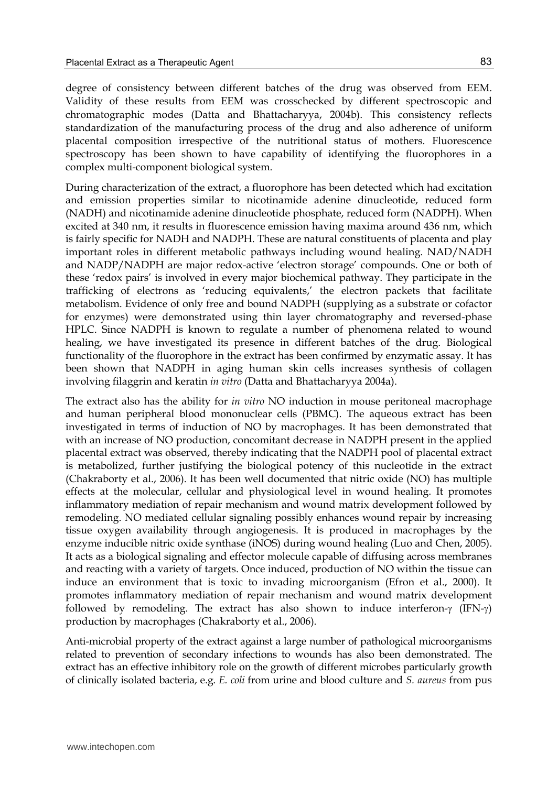complex multi-component biological system.

During characterization of the extract, a fluorophore has been detected which had excitation and emission properties similar to nicotinamide adenine dinucleotide, reduced form (NADH) and nicotinamide adenine dinucleotide phosphate, reduced form (NADPH). When excited at 340 nm, it results in fluorescence emission having maxima around 436 nm, which is fairly specific for NADH and NADPH. These are natural constituents of placenta and play important roles in different metabolic pathways including wound healing. NAD/NADH and NADP/NADPH are major redox-active 'electron storage' compounds. One or both of these 'redox pairs' is involved in every major biochemical pathway. They participate in the trafficking of electrons as 'reducing equivalents,' the electron packets that facilitate metabolism. Evidence of only free and bound NADPH (supplying as a substrate or cofactor for enzymes) were demonstrated using thin layer chromatography and reversed-phase HPLC. Since NADPH is known to regulate a number of phenomena related to wound healing, we have investigated its presence in different batches of the drug. Biological functionality of the fluorophore in the extract has been confirmed by enzymatic assay. It has been shown that NADPH in aging human skin cells increases synthesis of collagen involving filaggrin and keratin *in vitro* (Datta and Bhattacharyya 2004a).

The extract also has the ability for *in vitro* NO induction in mouse peritoneal macrophage and human peripheral blood mononuclear cells (PBMC). The aqueous extract has been investigated in terms of induction of NO by macrophages. It has been demonstrated that with an increase of NO production, concomitant decrease in NADPH present in the applied placental extract was observed, thereby indicating that the NADPH pool of placental extract is metabolized, further justifying the biological potency of this nucleotide in the extract (Chakraborty et al., 2006). It has been well documented that nitric oxide (NO) has multiple effects at the molecular, cellular and physiological level in wound healing. It promotes inflammatory mediation of repair mechanism and wound matrix development followed by remodeling. NO mediated cellular signaling possibly enhances wound repair by increasing tissue oxygen availability through angiogenesis. It is produced in macrophages by the enzyme inducible nitric oxide synthase (iNOS) during wound healing (Luo and Chen, 2005). It acts as a biological signaling and effector molecule capable of diffusing across membranes and reacting with a variety of targets. Once induced, production of NO within the tissue can induce an environment that is toxic to invading microorganism (Efron et al., 2000). It promotes inflammatory mediation of repair mechanism and wound matrix development followed by remodeling. The extract has also shown to induce interferon- $\gamma$  (IFN- $\gamma$ ) production by macrophages (Chakraborty et al., 2006).

Anti-microbial property of the extract against a large number of pathological microorganisms related to prevention of secondary infections to wounds has also been demonstrated. The extract has an effective inhibitory role on the growth of different microbes particularly growth of clinically isolated bacteria, e.g. *E. coli* from urine and blood culture and *S. aureus* from pus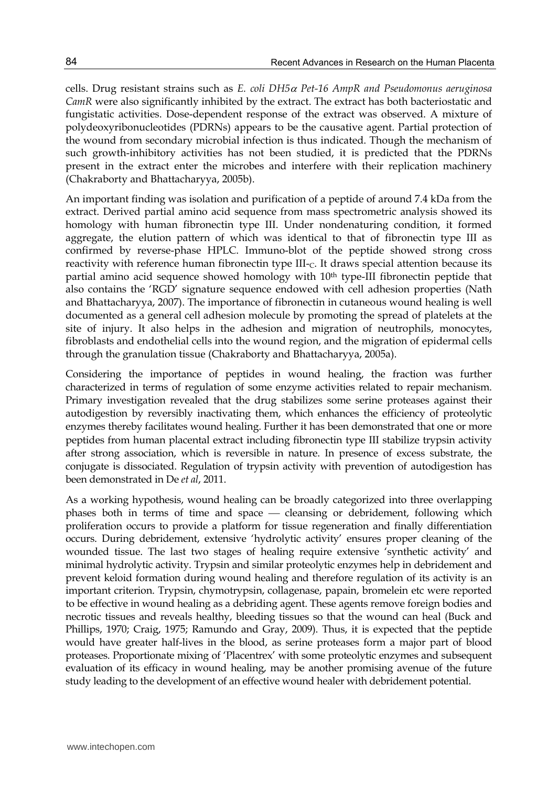cells. Drug resistant strains such as *E. coli DH5* $\alpha$  *Pet-16 AmpR and Pseudomonus aeruginosa CamR* were also significantly inhibited by the extract. The extract has both bacteriostatic and fungistatic activities. Dose-dependent response of the extract was observed. A mixture of polydeoxyribonucleotides (PDRNs) appears to be the causative agent. Partial protection of the wound from secondary microbial infection is thus indicated. Though the mechanism of such growth-inhibitory activities has not been studied, it is predicted that the PDRNs present in the extract enter the microbes and interfere with their replication machinery (Chakraborty and Bhattacharyya, 2005b).

An important finding was isolation and purification of a peptide of around 7.4 kDa from the extract. Derived partial amino acid sequence from mass spectrometric analysis showed its homology with human fibronectin type III. Under nondenaturing condition, it formed aggregate, the elution pattern of which was identical to that of fibronectin type III as confirmed by reverse-phase HPLC. Immuno-blot of the peptide showed strong cross reactivity with reference human fibronectin type  $III_{\text{-}c}$ . It draws special attention because its partial amino acid sequence showed homology with 10th type-III fibronectin peptide that also contains the 'RGD' signature sequence endowed with cell adhesion properties (Nath and Bhattacharyya, 2007). The importance of fibronectin in cutaneous wound healing is well documented as a general cell adhesion molecule by promoting the spread of platelets at the site of injury. It also helps in the adhesion and migration of neutrophils, monocytes, fibroblasts and endothelial cells into the wound region, and the migration of epidermal cells through the granulation tissue (Chakraborty and Bhattacharyya, 2005a).

Considering the importance of peptides in wound healing, the fraction was further characterized in terms of regulation of some enzyme activities related to repair mechanism. Primary investigation revealed that the drug stabilizes some serine proteases against their autodigestion by reversibly inactivating them, which enhances the efficiency of proteolytic enzymes thereby facilitates wound healing. Further it has been demonstrated that one or more peptides from human placental extract including fibronectin type III stabilize trypsin activity after strong association, which is reversible in nature. In presence of excess substrate, the conjugate is dissociated. Regulation of trypsin activity with prevention of autodigestion has been demonstrated in De *et al*, 2011.

As a working hypothesis, wound healing can be broadly categorized into three overlapping phases both in terms of time and space - cleansing or debridement, following which proliferation occurs to provide a platform for tissue regeneration and finally differentiation occurs. During debridement, extensive 'hydrolytic activity' ensures proper cleaning of the wounded tissue. The last two stages of healing require extensive 'synthetic activity' and minimal hydrolytic activity. Trypsin and similar proteolytic enzymes help in debridement and prevent keloid formation during wound healing and therefore regulation of its activity is an important criterion. Trypsin, chymotrypsin, collagenase, papain, bromelein etc were reported to be effective in wound healing as a debriding agent. These agents remove foreign bodies and necrotic tissues and reveals healthy, bleeding tissues so that the wound can heal (Buck and Phillips, 1970; Craig, 1975; Ramundo and Gray, 2009). Thus, it is expected that the peptide would have greater half-lives in the blood, as serine proteases form a major part of blood proteases. Proportionate mixing of 'Placentrex' with some proteolytic enzymes and subsequent evaluation of its efficacy in wound healing, may be another promising avenue of the future study leading to the development of an effective wound healer with debridement potential.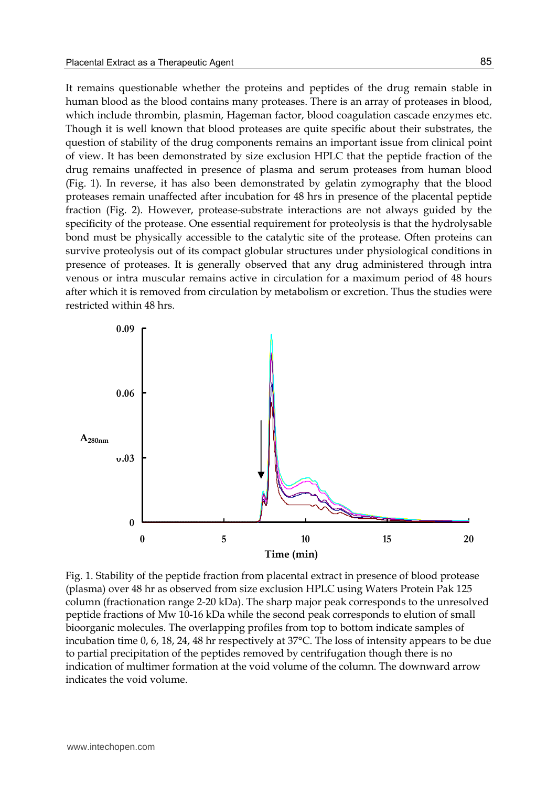It remains questionable whether the proteins and peptides of the drug remain stable in human blood as the blood contains many proteases. There is an array of proteases in blood, which include thrombin, plasmin, Hageman factor, blood coagulation cascade enzymes etc. Though it is well known that blood proteases are quite specific about their substrates, the question of stability of the drug components remains an important issue from clinical point of view. It has been demonstrated by size exclusion HPLC that the peptide fraction of the drug remains unaffected in presence of plasma and serum proteases from human blood (Fig. 1). In reverse, it has also been demonstrated by gelatin zymography that the blood proteases remain unaffected after incubation for 48 hrs in presence of the placental peptide fraction (Fig. 2). However, protease-substrate interactions are not always guided by the specificity of the protease. One essential requirement for proteolysis is that the hydrolysable bond must be physically accessible to the catalytic site of the protease. Often proteins can survive proteolysis out of its compact globular structures under physiological conditions in presence of proteases. It is generally observed that any drug administered through intra venous or intra muscular remains active in circulation for a maximum period of 48 hours after which it is removed from circulation by metabolism or excretion. Thus the studies were restricted within 48 hrs.



Fig. 1. Stability of the peptide fraction from placental extract in presence of blood protease (plasma) over 48 hr as observed from size exclusion HPLC using Waters Protein Pak 125 column (fractionation range 2-20 kDa). The sharp major peak corresponds to the unresolved peptide fractions of Mw 10-16 kDa while the second peak corresponds to elution of small bioorganic molecules. The overlapping profiles from top to bottom indicate samples of incubation time 0, 6, 18, 24, 48 hr respectively at 37°C. The loss of intensity appears to be due to partial precipitation of the peptides removed by centrifugation though there is no indication of multimer formation at the void volume of the column. The downward arrow indicates the void volume.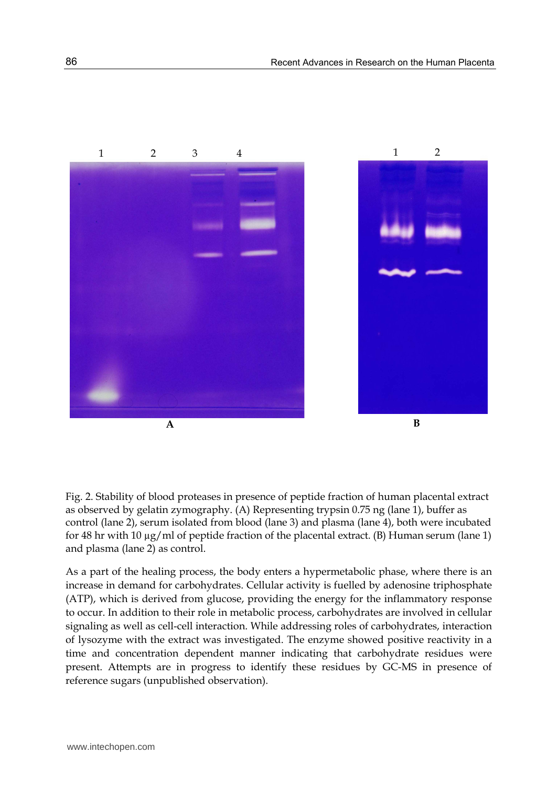

Fig. 2. Stability of blood proteases in presence of peptide fraction of human placental extract as observed by gelatin zymography. (A) Representing trypsin 0.75 ng (lane 1), buffer as control (lane 2), serum isolated from blood (lane 3) and plasma (lane 4), both were incubated for 48 hr with 10  $\mu$ g/ml of peptide fraction of the placental extract. (B) Human serum (lane 1) and plasma (lane 2) as control.

As a part of the healing process, the body enters a hypermetabolic phase, where there is an increase in demand for carbohydrates. Cellular activity is fuelled by adenosine triphosphate (ATP), which is derived from glucose, providing the energy for the inflammatory response to occur. In addition to their role in metabolic process, carbohydrates are involved in cellular signaling as well as cell-cell interaction. While addressing roles of carbohydrates, interaction of lysozyme with the extract was investigated. The enzyme showed positive reactivity in a time and concentration dependent manner indicating that carbohydrate residues were present. Attempts are in progress to identify these residues by GC-MS in presence of reference sugars (unpublished observation).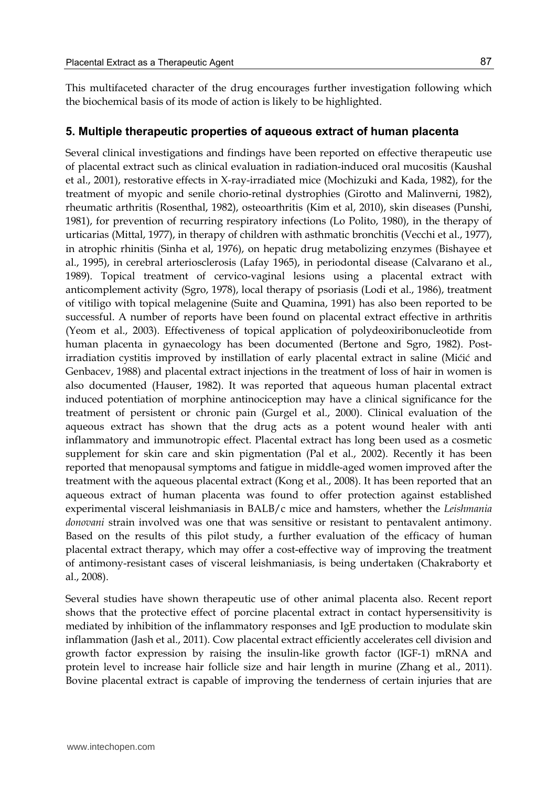This multifaceted character of the drug encourages further investigation following which the biochemical basis of its mode of action is likely to be highlighted.

#### **5. Multiple therapeutic properties of aqueous extract of human placenta**

Several clinical investigations and findings have been reported on effective therapeutic use of placental extract such as clinical evaluation in radiation-induced oral mucositis (Kaushal et al., 2001), restorative effects in X-ray-irradiated mice (Mochizuki and Kada, 1982), for the treatment of myopic and senile chorio-retinal dystrophies (Girotto and Malinverni, 1982), rheumatic arthritis (Rosenthal, 1982), osteoarthritis (Kim et al, 2010), skin diseases (Punshi, 1981), for prevention of recurring respiratory infections (Lo Polito, 1980), in the therapy of urticarias (Mittal, 1977), in therapy of children with asthmatic bronchitis (Vecchi et al., 1977), in atrophic rhinitis (Sinha et al, 1976), on hepatic drug metabolizing enzymes (Bishayee et al., 1995), in cerebral arteriosclerosis (Lafay 1965), in periodontal disease (Calvarano et al., 1989). Topical treatment of cervico-vaginal lesions using a placental extract with anticomplement activity (Sgro, 1978), local therapy of psoriasis (Lodi et al., 1986), treatment of vitiligo with topical melagenine (Suite and Quamina, 1991) has also been reported to be successful. A number of reports have been found on placental extract effective in arthritis (Yeom et al., 2003). Effectiveness of topical application of polydeoxiribonucleotide from human placenta in gynaecology has been documented (Bertone and Sgro, 1982). Postirradiation cystitis improved by instillation of early placental extract in saline (Mićić and Genbacev, 1988) and placental extract injections in the treatment of loss of hair in women is also documented (Hauser, 1982). It was reported that aqueous human placental extract induced potentiation of morphine antinociception may have a clinical significance for the treatment of persistent or chronic pain (Gurgel et al., 2000). Clinical evaluation of the aqueous extract has shown that the drug acts as a potent wound healer with anti inflammatory and immunotropic effect. Placental extract has long been used as a cosmetic supplement for skin care and skin pigmentation (Pal et al., 2002). Recently it has been reported that menopausal symptoms and fatigue in middle-aged women improved after the treatment with the aqueous placental extract (Kong et al., 2008). It has been reported that an aqueous extract of human placenta was found to offer protection against established experimental visceral leishmaniasis in BALB/c mice and hamsters, whether the *Leishmania donovani* strain involved was one that was sensitive or resistant to pentavalent antimony. Based on the results of this pilot study, a further evaluation of the efficacy of human placental extract therapy, which may offer a cost-effective way of improving the treatment of antimony-resistant cases of visceral leishmaniasis, is being undertaken (Chakraborty et al., 2008).

Several studies have shown therapeutic use of other animal placenta also. Recent report shows that the protective effect of porcine placental extract in contact hypersensitivity is mediated by inhibition of the inflammatory responses and IgE production to modulate skin inflammation (Jash et al., 2011). Cow placental extract efficiently accelerates cell division and growth factor expression by raising the insulin-like growth factor (IGF-1) mRNA and protein level to increase hair follicle size and hair length in murine (Zhang et al., 2011). Bovine placental extract is capable of improving the tenderness of certain injuries that are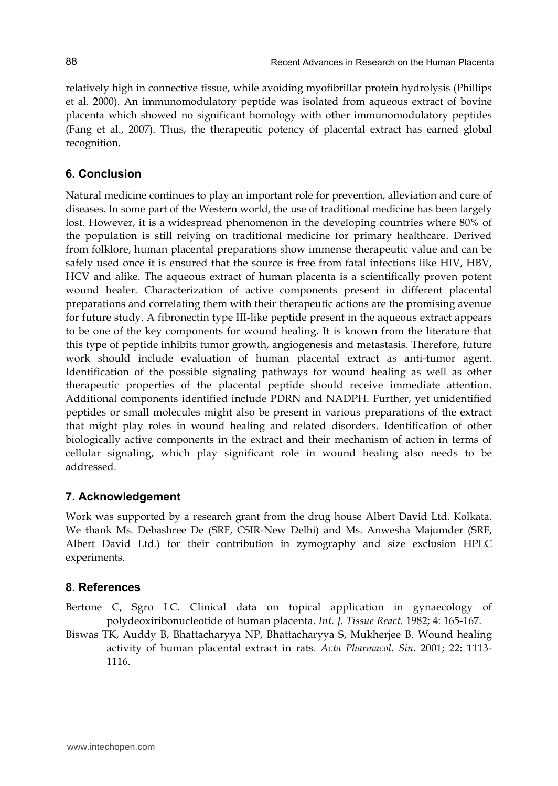relatively high in connective tissue, while avoiding myofibrillar protein hydrolysis (Phillips et al. 2000). An immunomodulatory peptide was isolated from aqueous extract of bovine placenta which showed no significant homology with other immunomodulatory peptides (Fang et al., 2007). Thus, the therapeutic potency of placental extract has earned global recognition.

# **6. Conclusion**

Natural medicine continues to play an important role for prevention, alleviation and cure of diseases. In some part of the Western world, the use of traditional medicine has been largely lost. However, it is a widespread phenomenon in the developing countries where 80% of the population is still relying on traditional medicine for primary healthcare. Derived from folklore, human placental preparations show immense therapeutic value and can be safely used once it is ensured that the source is free from fatal infections like HIV, HBV, HCV and alike. The aqueous extract of human placenta is a scientifically proven potent wound healer. Characterization of active components present in different placental preparations and correlating them with their therapeutic actions are the promising avenue for future study. A fibronectin type III-like peptide present in the aqueous extract appears to be one of the key components for wound healing. It is known from the literature that this type of peptide inhibits tumor growth, angiogenesis and metastasis. Therefore, future work should include evaluation of human placental extract as anti-tumor agent. Identification of the possible signaling pathways for wound healing as well as other therapeutic properties of the placental peptide should receive immediate attention. Additional components identified include PDRN and NADPH. Further, yet unidentified peptides or small molecules might also be present in various preparations of the extract that might play roles in wound healing and related disorders. Identification of other biologically active components in the extract and their mechanism of action in terms of cellular signaling, which play significant role in wound healing also needs to be addressed.

# **7. Acknowledgement**

Work was supported by a research grant from the drug house Albert David Ltd. Kolkata. We thank Ms. Debashree De (SRF, CSIR-New Delhi) and Ms. Anwesha Majumder (SRF, Albert David Ltd.) for their contribution in zymography and size exclusion HPLC experiments.

# **8. References**

Bertone C, Sgro LC. Clinical data on topical application in gynaecology of polydeoxiribonucleotide of human placenta. *Int. J. Tissue React.* 1982; 4: 165-167.

Biswas TK, Auddy B, Bhattacharyya NP, Bhattacharyya S, Mukherjee B. Wound healing activity of human placental extract in rats. *Acta Pharmacol. Sin*. 2001; 22: 1113- 1116.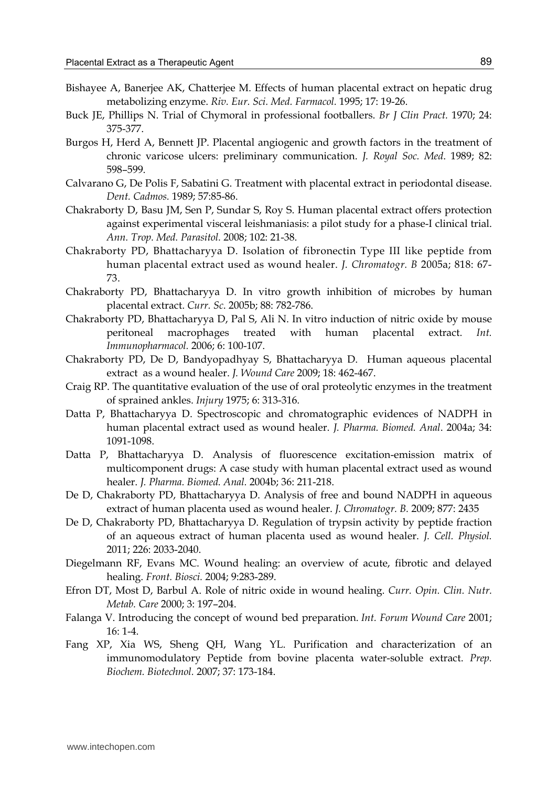- Bishayee A, Banerjee AK, Chatterjee M. Effects of human placental extract on hepatic drug metabolizing enzyme. *Riv. Eur. Sci. Med. Farmacol.* 1995; 17: 19-26.
- Buck JE, Phillips N. Trial of Chymoral in professional footballers. *Br J Clin Pract.* 1970; 24: 375-377.
- Burgos H, Herd A, Bennett JP. Placental angiogenic and growth factors in the treatment of chronic varicose ulcers: preliminary communication. *J. Royal Soc. Med*. 1989; 82: 598–599.
- Calvarano G, De Polis F, Sabatini G. Treatment with placental extract in periodontal disease. *Dent. Cadmos.* 1989; 57:85-86.
- Chakraborty D, Basu JM, Sen P, Sundar S, Roy S. Human placental extract offers protection against experimental visceral leishmaniasis: a pilot study for a phase-I clinical trial. *Ann. Trop. Med. Parasitol.* 2008; 102: 21-38.
- Chakraborty PD, Bhattacharyya D. Isolation of fibronectin Type III like peptide from human placental extract used as wound healer. *J. Chromatogr. B* 2005a; 818: 67- 73.
- Chakraborty PD, Bhattacharyya D. In vitro growth inhibition of microbes by human placental extract. *Curr. Sc*. 2005b; 88: 782-786.
- Chakraborty PD, Bhattacharyya D, Pal S, Ali N. In vitro induction of nitric oxide by mouse peritoneal macrophages treated with human placental extract. *Int. Immunopharmacol.* 2006; 6: 100-107.
- Chakraborty PD, De D, Bandyopadhyay S, Bhattacharyya D. Human aqueous placental extract as a wound healer. *J. Wound Care* 2009; 18: 462-467.
- Craig RP. The quantitative evaluation of the use of oral proteolytic enzymes in the treatment of sprained ankles. *Injury* 1975; 6: 313-316.
- Datta P, Bhattacharyya D. Spectroscopic and chromatographic evidences of NADPH in human placental extract used as wound healer. *J. Pharma. Biomed. Anal*. 2004a; 34: 1091-1098.
- Datta P, Bhattacharyya D. Analysis of fluorescence excitation-emission matrix of multicomponent drugs: A case study with human placental extract used as wound healer. *J. Pharma. Biomed. Anal.* 2004b; 36: 211-218.
- De D, Chakraborty PD, Bhattacharyya D. Analysis of free and bound NADPH in aqueous extract of human placenta used as wound healer. *J. Chromatogr. B.* 2009; 877: 2435
- De D, Chakraborty PD, Bhattacharyya D. Regulation of trypsin activity by peptide fraction of an aqueous extract of human placenta used as wound healer. *J. Cell. Physiol.* 2011; 226: 2033-2040.
- Diegelmann RF, Evans MC. Wound healing: an overview of acute, fibrotic and delayed healing. *Front. Biosci.* 2004; 9:283-289.
- Efron DT, Most D, Barbul A. Role of nitric oxide in wound healing. *Curr. Opin. Clin. Nutr. Metab. Care* 2000; 3: 197–204.
- Falanga V. Introducing the concept of wound bed preparation. *Int. Forum Wound Care* 2001; 16: 1-4.
- Fang XP, Xia WS, Sheng QH, Wang YL. Purification and characterization of an immunomodulatory Peptide from bovine placenta water-soluble extract. *Prep. Biochem. Biotechnol.* 2007; 37: 173-184.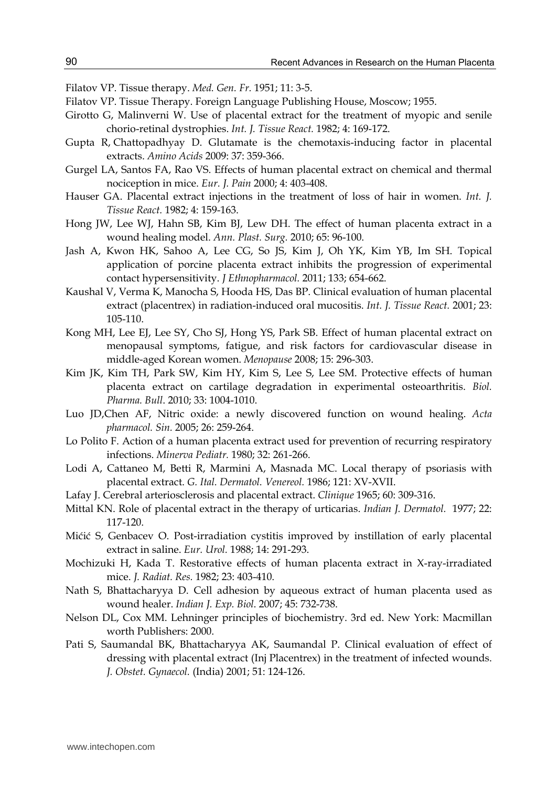- Filatov VP. Tissue therapy. *Med. Gen. Fr.* 1951; 11: 3-5.
- Filatov VP. Tissue Therapy. Foreign Language Publishing House, Moscow; 1955.
- Girotto G, Malinverni W. Use of placental extract for the treatment of myopic and senile chorio-retinal dystrophies. *Int. J. Tissue React.* 1982; 4: 169-172.
- Gupta R, Chattopadhyay D. Glutamate is the chemotaxis-inducing factor in placental extracts. *Amino Acids* 2009: 37: 359-366.
- Gurgel LA, Santos FA, Rao VS. Effects of human placental extract on chemical and thermal nociception in mice. *Eur. J. Pain* 2000; 4: 403-408.
- Hauser GA. Placental extract injections in the treatment of loss of hair in women. *Int. J. Tissue React.* 1982; 4: 159-163.
- Hong JW, Lee WJ, Hahn SB, Kim BJ, Lew DH. The effect of human placenta extract in a wound healing model. *Ann. Plast. Surg.* 2010; 65: 96-100.
- Jash A, Kwon HK, Sahoo A, Lee CG, So JS, Kim J, Oh YK, Kim YB, Im SH. Topical application of porcine placenta extract inhibits the progression of experimental contact hypersensitivity. *J Ethnopharmacol.* 2011; 133; 654-662.
- Kaushal V, Verma K, Manocha S, Hooda HS, Das BP. Clinical evaluation of human placental extract (placentrex) in radiation-induced oral mucositis. *Int. J. Tissue React.* 2001; 23: 105-110.
- Kong MH, Lee EJ, Lee SY, Cho SJ, Hong YS, Park SB. Effect of human placental extract on menopausal symptoms, fatigue, and risk factors for cardiovascular disease in middle-aged Korean women. *Menopause* 2008; 15: 296-303.
- Kim JK, Kim TH, Park SW, Kim HY, Kim S, Lee S, Lee SM. Protective effects of human placenta extract on cartilage degradation in experimental osteoarthritis. *Biol. Pharma. Bull*. 2010; 33: 1004-1010.
- Luo JD,Chen AF, Nitric oxide: a newly discovered function on wound healing. *Acta pharmacol. Sin.* 2005; 26: 259-264.
- Lo Polito F. Action of a human placenta extract used for prevention of recurring respiratory infections. *Minerva Pediatr.* 1980; 32: 261-266.
- Lodi A, Cattaneo M, Betti R, Marmini A, Masnada MC. Local therapy of psoriasis with placental extract. *G. Ital. Dermatol. Venereol.* 1986; 121: XV-XVII.
- Lafay J. Cerebral arteriosclerosis and placental extract. *Clinique* 1965; 60: 309-316.
- Mittal KN. Role of placental extract in the therapy of urticarias. *Indian J. Dermatol.* 1977; 22: 117-120.
- Mićić S, Genbacev O. Post-irradiation cystitis improved by instillation of early placental extract in saline. *Eur. Urol.* 1988; 14: 291-293.
- Mochizuki H, Kada T. Restorative effects of human placenta extract in X-ray-irradiated mice. *J. Radiat. Res.* 1982; 23: 403-410.
- Nath S, Bhattacharyya D. Cell adhesion by aqueous extract of human placenta used as wound healer. *Indian J. Exp. Biol*. 2007; 45: 732-738.
- Nelson DL, Cox MM. Lehninger principles of biochemistry. 3rd ed. New York: Macmillan worth Publishers: 2000.
- Pati S, Saumandal BK, Bhattacharyya AK, Saumandal P. Clinical evaluation of effect of dressing with placental extract (Inj Placentrex) in the treatment of infected wounds. *J. Obstet. Gynaecol.* (India) 2001; 51: 124-126.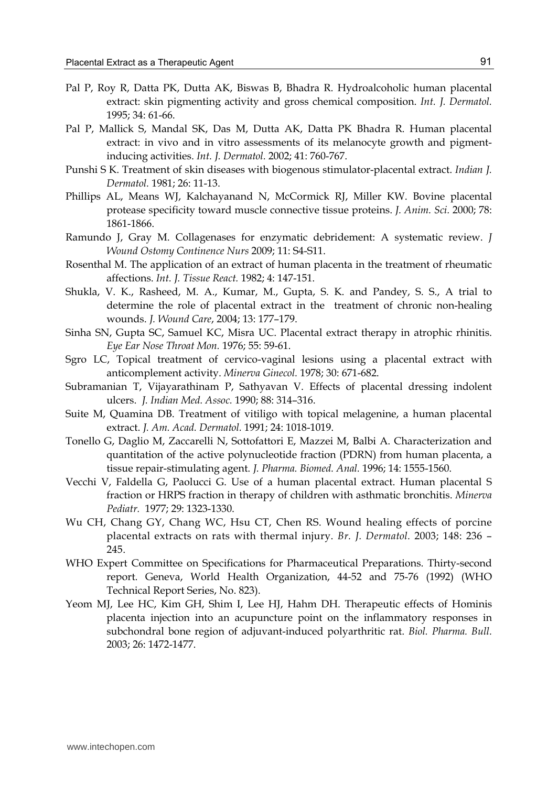- Pal P, Roy R, Datta PK, Dutta AK, Biswas B, Bhadra R. Hydroalcoholic human placental extract: skin pigmenting activity and gross chemical composition. *Int. J. Dermatol.* 1995; 34: 61-66.
- Pal P, Mallick S, Mandal SK, Das M, Dutta AK, Datta PK Bhadra R. Human placental extract: in vivo and in vitro assessments of its melanocyte growth and pigmentinducing activities. *Int. J. Dermatol.* 2002; 41: 760-767.
- Punshi S K. Treatment of skin diseases with biogenous stimulator-placental extract. *Indian J. Dermatol.* 1981; 26: 11-13.
- Phillips AL, Means WJ, Kalchayanand N, McCormick RJ, Miller KW. Bovine placental protease specificity toward muscle connective tissue proteins. *J. Anim. Sci.* 2000; 78: 1861-1866.
- Ramundo J, Gray M. Collagenases for enzymatic debridement: A systematic review. *J Wound Ostomy Continence Nurs* 2009; 11: S4-S11.
- Rosenthal M. The application of an extract of human placenta in the treatment of rheumatic affections. *Int. J. Tissue React.* 1982; 4: 147-151.
- Shukla, V. K., Rasheed, M. A., Kumar, M., Gupta, S. K. and Pandey, S. S., A trial to determine the role of placental extract in the treatment of chronic non-healing wounds. *J. Wound Care*, 2004; 13: 177–179.
- Sinha SN, Gupta SC, Samuel KC, Misra UC. Placental extract therapy in atrophic rhinitis. *Eye Ear Nose Throat Mon.* 1976; 55: 59-61.
- Sgro LC, Topical treatment of cervico-vaginal lesions using a placental extract with anticomplement activity. *Minerva Ginecol.* 1978; 30: 671-682.
- Subramanian T, Vijayarathinam P, Sathyavan V. Effects of placental dressing indolent ulcers. *J. Indian Med. Assoc.* 1990; 88: 314–316.
- Suite M, Quamina DB. Treatment of vitiligo with topical melagenine, a human placental extract. *J. Am. Acad. Dermatol.* 1991; 24: 1018-1019.
- Tonello G, Daglio M, Zaccarelli N, Sottofattori E, Mazzei M, Balbi A. Characterization and quantitation of the active polynucleotide fraction (PDRN) from human placenta, a tissue repair-stimulating agent. *J. Pharma. Biomed. Anal.* 1996; 14: 1555-1560.
- Vecchi V, Faldella G, Paolucci G. Use of a human placental extract. Human placental S fraction or HRPS fraction in therapy of children with asthmatic bronchitis. *Minerva Pediatr.* 1977; 29: 1323-1330.
- Wu CH, Chang GY, Chang WC, Hsu CT, Chen RS. Wound healing effects of porcine placental extracts on rats with thermal injury. *Br. J. Dermatol.* 2003; 148: 236 – 245.
- WHO Expert Committee on Specifications for Pharmaceutical Preparations. Thirty-second report. Geneva, World Health Organization, 44-52 and 75-76 (1992) (WHO Technical Report Series, No. 823).
- Yeom MJ, Lee HC, Kim GH, Shim I, Lee HJ, Hahm DH. Therapeutic effects of Hominis placenta injection into an acupuncture point on the inflammatory responses in subchondral bone region of adjuvant-induced polyarthritic rat. *Biol. Pharma. Bull.* 2003; 26: 1472-1477.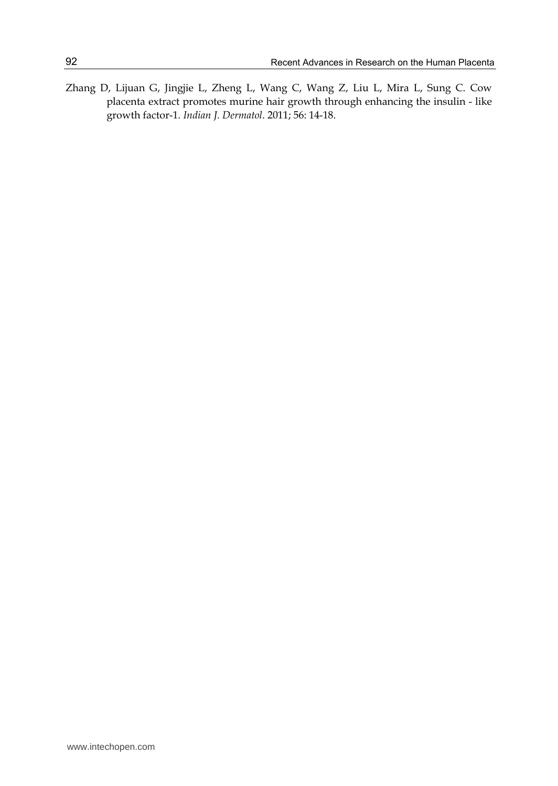Zhang D, Lijuan G, Jingjie L, Zheng L, Wang C, Wang Z, Liu L, Mira L, Sung C. Cow placenta extract promotes murine hair growth through enhancing the insulin - like growth factor-1*. Indian J. Dermatol*. 2011; 56: 14-18.